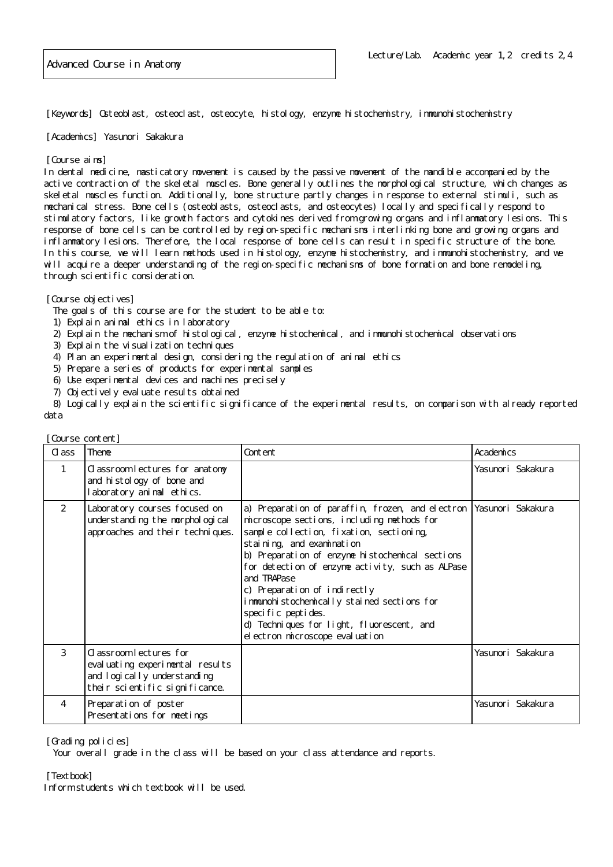[Keywords] Osteoblast, osteoclast, osteocyte, histology, enzyme histochemistry, immunohistochemistry

[Academics] Yasunori Sakakura

## [Course aims]

In dental medicine, masticatory movement is caused by the passive movement of the mandible accompanied by the active contraction of the skeletal muscles. Bone generally outlines the morphological structure, which changes as skeletal muscles function. Additionally, bone structure partly changes in response to external stimuli, such as mechanical stress. Bone cells (osteoblasts, osteoclasts, and osteocytes) locally and specifically respond to stimulatory factors, like growth factors and cytokines derived from growing organs and inflammatory lesions. This response of bone cells can be controlled by region-specific mechanisms interlinking bone and growing organs and inflammatory lesions. Therefore, the local response of bone cells can result in specific structure of the bone. In this course, we will learn methods used in histology, enzyme histochemistry, and immunohistochemistry, and we will acquire a deeper understanding of the region-specific mechanisms of bone formation and bone remodeling, through scientific consideration.

## [Course objectives]

The goals of this course are for the student to be able to:

- 1) Explain animal ethics in laboratory
- 2) Explain the mechanism of histological, enzyme histochemical, and immunohistochemical observations
- 3) Explain the visualization techniques
- 4) Plan an experimental design, considering the regulation of animal ethics
- 5) Prepare a series of products for experimental samples
- 6) Use experimental devices and machines precisely
- 7) Objectively evaluate results obtained

 8) Logically explain the scientific significance of the experimental results, on comparison with already reported data

| Course content] |                                                                                                                             |                                                                                                                                                                                                                                                                                                                                                                                                                                                                                                     |                   |
|-----------------|-----------------------------------------------------------------------------------------------------------------------------|-----------------------------------------------------------------------------------------------------------------------------------------------------------------------------------------------------------------------------------------------------------------------------------------------------------------------------------------------------------------------------------------------------------------------------------------------------------------------------------------------------|-------------------|
| C ass           | Theme                                                                                                                       | Content                                                                                                                                                                                                                                                                                                                                                                                                                                                                                             | Academics         |
| 1               | Classroom lectures for anatomy<br>and hi stology of bone and<br>laboratory animal ethics.                                   |                                                                                                                                                                                                                                                                                                                                                                                                                                                                                                     | Yasunori Sakakura |
| 2               | Laboratory courses focused on<br>understanding the morphological<br>approaches and their techniques.                        | a) Preparation of paraffin, frozen, and electron Yasunori Sakakura<br>microscope sections, including methods for<br>sample collection, fixation, sectioning,<br>staining, and examination<br>b) Preparation of enzyme histochemical sections<br>for detection of enzyme activity, such as ALPase<br>and TRAPase<br>c) Preparation of indirectly<br>immunohistochemically stained sections for<br>specific peptides.<br>d) Techniques for light, fluorescent, and<br>el ectron microscope evaluation |                   |
| 3               | C assroom lectures for<br>eval uating experimental results<br>and logically understanding<br>their scientific significance. |                                                                                                                                                                                                                                                                                                                                                                                                                                                                                                     | Yasunori Sakakura |
| 4               | Preparation of poster<br>Presentations for meetings                                                                         |                                                                                                                                                                                                                                                                                                                                                                                                                                                                                                     | Yasunori Sakakura |

[Grading policies]

Your overall grade in the class will be based on your class attendance and reports.

[Textbook]

Inform students which textbook will be used.